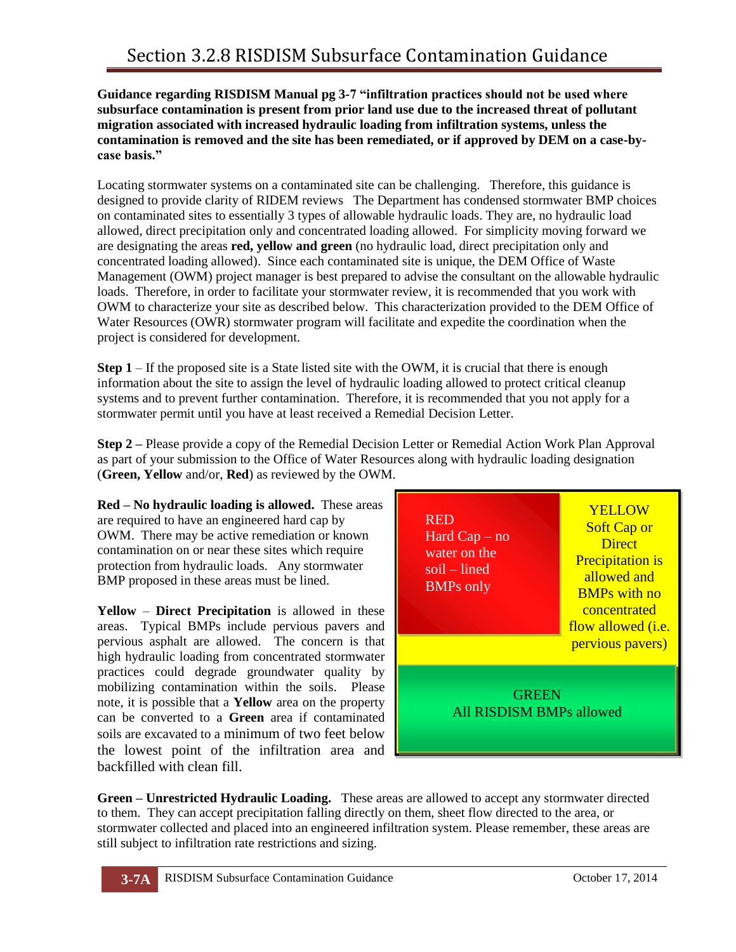## **Guidance regarding RISDISM Manual pg 3-7 "infiltration practices should not be used where subsurface contamination is present from prior land use due to the increased threat of pollutant migration associated with increased hydraulic loading from infiltration systems, unless the contamination is removed and the site has been remediated, or if approved by DEM on a case-bycase basis."**

Locating stormwater systems on a contaminated site can be challenging. Therefore, this guidance is designed to provide clarity of RIDEM reviews The Department has condensed stormwater BMP choices on contaminated sites to essentially 3 types of allowable hydraulic loads. They are, no hydraulic load allowed, direct precipitation only and concentrated loading allowed. For simplicity moving forward we are designating the areas **red, yellow and green** (no hydraulic load, direct precipitation only and concentrated loading allowed). Since each contaminated site is unique, the DEM Office of Waste Management (OWM) project manager is best prepared to advise the consultant on the allowable hydraulic loads. Therefore, in order to facilitate your stormwater review, it is recommended that you work with OWM to characterize your site as described below. This characterization provided to the DEM Office of Water Resources (OWR) stormwater program will facilitate and expedite the coordination when the project is considered for development.

**Step 1** – If the proposed site is a State listed site with the OWM, it is crucial that there is enough information about the site to assign the level of hydraulic loading allowed to protect critical cleanup systems and to prevent further contamination. Therefore, it is recommended that you not apply for a stormwater permit until you have at least received a Remedial Decision Letter.

**Step 2 –** Please provide a copy of the Remedial Decision Letter or Remedial Action Work Plan Approval as part of your submission to the Office of Water Resources along with hydraulic loading designation (**Green, Yellow** and/or, **Red**) as reviewed by the OWM.

**Red – No hydraulic loading is allowed.** These areas are required to have an engineered hard cap by OWM. There may be active remediation or known contamination on or near these sites which require protection from hydraulic loads. Any stormwater BMP proposed in these areas must be lined.

**Yellow** – **Direct Precipitation** is allowed in these areas. Typical BMPs include pervious pavers and pervious asphalt are allowed. The concern is that high hydraulic loading from concentrated stormwater practices could degrade groundwater quality by mobilizing contamination within the soils. Please note, it is possible that a **Yellow** area on the property can be converted to a **Green** area if contaminated soils are excavated to a minimum of two feet below the lowest point of the infiltration area and backfilled with clean fill.

| <b>RED</b><br>Hard $Cap - no$<br>water on the<br>soil – lined<br><b>BMPs</b> only | <b>YELLOW</b><br><b>Soft Cap or</b><br><b>Direct</b><br><b>Precipitation is</b><br>allowed and<br><b>BMPs with no</b><br>concentrated<br>flow allowed <i>(i.e.</i><br>pervious pavers) |
|-----------------------------------------------------------------------------------|----------------------------------------------------------------------------------------------------------------------------------------------------------------------------------------|
| <b>GREEN</b><br>All RISDISM BMPs allowed                                          |                                                                                                                                                                                        |

**Green – Unrestricted Hydraulic Loading.** These areas are allowed to accept any stormwater directed to them. They can accept precipitation falling directly on them, sheet flow directed to the area, or stormwater collected and placed into an engineered infiltration system. Please remember, these areas are still subject to infiltration rate restrictions and sizing.